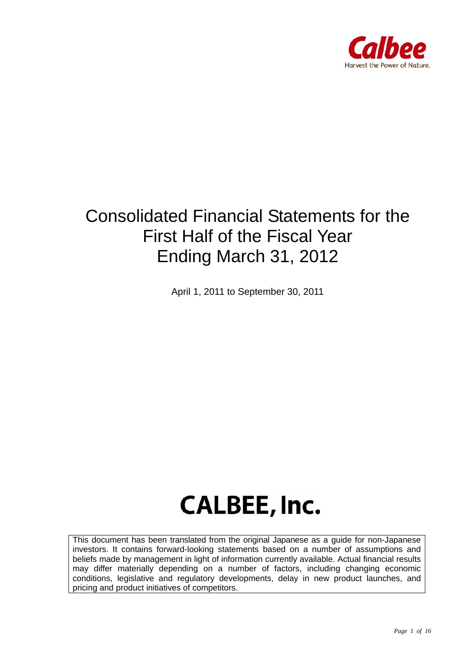

# Consolidated Financial Statements for the First Half of the Fiscal Year Ending March 31, 2012

April 1, 2011 to September 30, 2011

# **CALBEE, Inc.**

This document has been translated from the original Japanese as a guide for non-Japanese investors. It contains forward-looking statements based on a number of assumptions and beliefs made by management in light of information currently available. Actual financial results may differ materially depending on a number of factors, including changing economic conditions, legislative and regulatory developments, delay in new product launches, and pricing and product initiatives of competitors.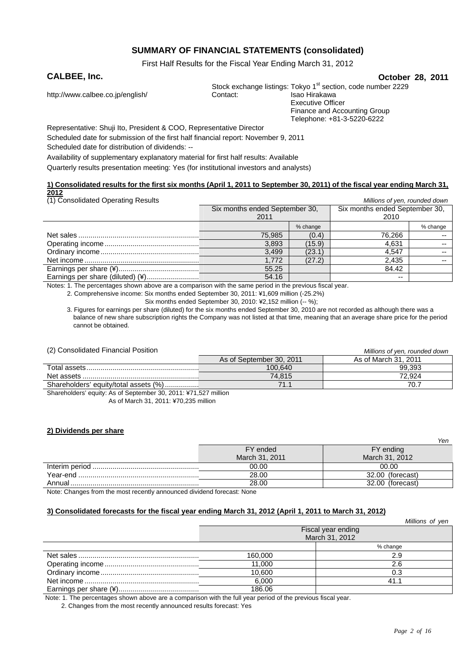## **SUMMARY OF FINANCIAL STATEMENTS (consolidated)**

First Half Results for the Fiscal Year Ending March 31, 2012

#### **CALBEE, Inc. October 28, 2011** Stock exchange listings: Tokyo 1<sup>st</sup> section, code number 2229<br>Contact: Isao Hirakawa http://www.calbee.co.jp/english/ Contact: Executive Officer

Finance and Accounting Group Telephone: +81-3-5220-6222

Representative: Shuji Ito, President & COO, Representative Director

Scheduled date for submission of the first half financial report: November 9, 2011

Scheduled date for distribution of dividends: --

Availability of supplementary explanatory material for first half results: Available

Quarterly results presentation meeting: Yes (for institutional investors and analysts)

#### **1) Consolidated results for the first six months (April 1, 2011 to September 30, 2011) of the fiscal year ending March 31, 2012**

| (1) Consolidated Operating Results |                                |          | Millions of yen, rounded down  |          |
|------------------------------------|--------------------------------|----------|--------------------------------|----------|
|                                    | Six months ended September 30, |          | Six months ended September 30, |          |
|                                    | 2011                           |          | 2010                           |          |
|                                    |                                | % change |                                | % change |
|                                    | 75,985                         | (0.4)    | 76.266                         | --       |
|                                    | 3.893                          | (15.9)   | 4.631                          | $- -$    |
|                                    | 3.499                          | (23.1)   | 4.547                          | $-$      |
|                                    | 1.772                          | (27.2)   | 2,435                          | --       |
|                                    | 55.25                          |          | 84.42                          |          |
|                                    | 54.16                          |          | --                             |          |

Notes: 1. The percentages shown above are a comparison with the same period in the previous fiscal year.

2. Comprehensive income: Six months ended September 30, 2011: ¥1,609 million (-25.2%)

Six months ended September 30, 2010: ¥2,152 million (-- %);

3. Figures for earnings per share (diluted) for the six months ended September 30, 2010 are not recorded as although there was a balance of new share subscription rights the Company was not listed at that time, meaning that an average share price for the period cannot be obtained.

#### (2) Consolidated Financial Position *Millions of yen, rounded down*

| $\frac{1}{2}$ $\frac{1}{2}$ $\frac{1}{2}$ $\frac{1}{2}$ $\frac{1}{2}$ $\frac{1}{2}$ $\frac{1}{2}$ $\frac{1}{2}$ $\frac{1}{2}$ $\frac{1}{2}$ $\frac{1}{2}$ $\frac{1}{2}$ $\frac{1}{2}$ $\frac{1}{2}$ $\frac{1}{2}$ $\frac{1}{2}$ $\frac{1}{2}$ $\frac{1}{2}$ $\frac{1}{2}$ $\frac{1}{2}$ $\frac{1}{2}$ $\frac{1}{2}$ | <u>MINOUS OF VEH. TOUHUEU UOWH</u> |                      |
|---------------------------------------------------------------------------------------------------------------------------------------------------------------------------------------------------------------------------------------------------------------------------------------------------------------------|------------------------------------|----------------------|
|                                                                                                                                                                                                                                                                                                                     | As of September 30, 2011           | As of March 31, 2011 |
|                                                                                                                                                                                                                                                                                                                     | 100.640                            | 99.393               |
|                                                                                                                                                                                                                                                                                                                     | 74.815                             | 72.924               |
| Shareholders' equity/total assets (%)                                                                                                                                                                                                                                                                               | 71                                 | 70                   |
|                                                                                                                                                                                                                                                                                                                     |                                    |                      |

Shareholders' equity: As of September 30, 2011: ¥71,527 million As of March 31, 2011: ¥70,235 million

#### **2) Dividends per share**

|        |                | $1 \cup 11$      |
|--------|----------------|------------------|
|        | FY ended       | FY ending        |
|        | March 31, 2011 | March 31, 2012   |
|        | 00.00          | 00.00            |
|        | 28.00          | 32.00 (forecast) |
| Annual | 28.00          | 32.00 (forecast) |

Note: Changes from the most recently announced dividend forecast: None

#### **3) Consolidated forecasts for the fiscal year ending March 31, 2012 (April 1, 2011 to March 31, 2012)**

|         | Millions of yen    |
|---------|--------------------|
|         | Fiscal year ending |
|         | March 31, 2012     |
|         | % change           |
| 160.000 | 2.9                |
| 11.000  | 2.6                |
| 10.600  | 0.3                |
| 6.000   | 41 1               |
| 186.06  |                    |

Note: 1. The percentages shown above are a comparison with the full year period of the previous fiscal year.

2. Changes from the most recently announced results forecast: Yes

*Yen*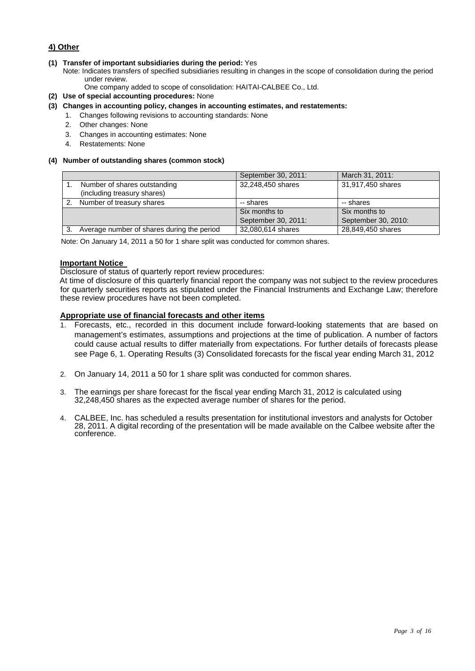### **4) Other**

#### **(1) Transfer of important subsidiaries during the period:** Yes

Note: Indicates transfers of specified subsidiaries resulting in changes in the scope of consolidation during the period under review.

One company added to scope of consolidation: HAITAI-CALBEE Co., Ltd.

- **(2) Use of special accounting procedures:** None
- **(3) Changes in accounting policy, changes in accounting estimates, and restatements:** 
	- 1. Changes following revisions to accounting standards: None
	- 2. Other changes: None
	- 3. Changes in accounting estimates: None
	- 4. Restatements: None

#### **(4) Number of outstanding shares (common stock)**

|    |                                            | September 30, 2011: | March 31, 2011:     |
|----|--------------------------------------------|---------------------|---------------------|
|    | Number of shares outstanding               | 32,248,450 shares   | 31,917,450 shares   |
|    | (including treasury shares)                |                     |                     |
| 2. | Number of treasury shares                  | -- shares           | -- shares           |
|    |                                            | Six months to       | Six months to       |
|    |                                            | September 30, 2011: | September 30, 2010: |
|    | Average number of shares during the period | 32,080,614 shares   | 28,849,450 shares   |

Note: On January 14, 2011 a 50 for 1 share split was conducted for common shares.

#### **Important Notice**

Disclosure of status of quarterly report review procedures:

At time of disclosure of this quarterly financial report the company was not subject to the review procedures for quarterly securities reports as stipulated under the Financial Instruments and Exchange Law; therefore these review procedures have not been completed.

#### **Appropriate use of financial forecasts and other items**

- 1. Forecasts, etc., recorded in this document include forward-looking statements that are based on management's estimates, assumptions and projections at the time of publication. A number of factors could cause actual results to differ materially from expectations. For further details of forecasts please see Page 6, 1. Operating Results (3) Consolidated forecasts for the fiscal year ending March 31, 2012
- 2. On January 14, 2011 a 50 for 1 share split was conducted for common shares.
- 3. The earnings per share forecast for the fiscal year ending March 31, 2012 is calculated using 32,248,450 shares as the expected average number of shares for the period.
- 4. CALBEE, Inc. has scheduled a results presentation for institutional investors and analysts for October 28, 2011. A digital recording of the presentation will be made available on the Calbee website after the conference.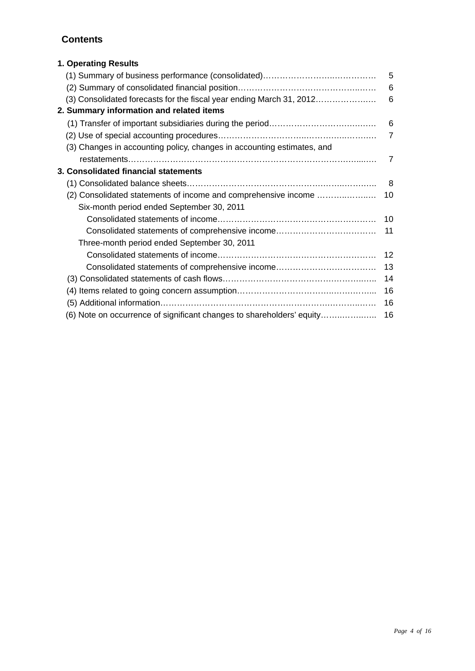# **Contents**

| 1. Operating Results                                                   |                |
|------------------------------------------------------------------------|----------------|
|                                                                        | $-5$           |
|                                                                        | 6              |
| (3) Consolidated forecasts for the fiscal year ending March 31, 2012   | 6              |
| 2. Summary information and related items                               |                |
|                                                                        | 6              |
|                                                                        | $\overline{7}$ |
| (3) Changes in accounting policy, changes in accounting estimates, and |                |
|                                                                        | 7              |
| 3. Consolidated financial statements                                   |                |
|                                                                        | - 8            |
| (2) Consolidated statements of income and comprehensive income         | 10             |
| Six-month period ended September 30, 2011                              |                |
|                                                                        |                |
| Consolidated statements of comprehensive income                        | 11             |
| Three-month period ended September 30, 2011                            |                |
|                                                                        | 12             |
| Consolidated statements of comprehensive income                        | 13             |
|                                                                        | 14             |
|                                                                        | 16             |
|                                                                        | 16             |
| (6) Note on occurrence of significant changes to shareholders' equity  | 16             |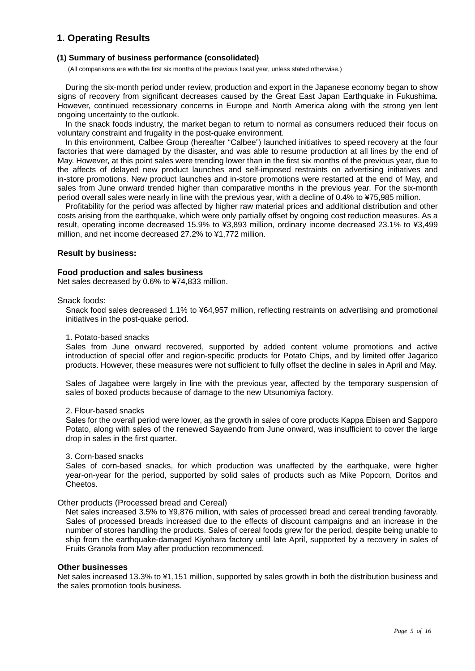# **1. Operating Results**

#### **(1) Summary of business performance (consolidated)**

(All comparisons are with the first six months of the previous fiscal year, unless stated otherwise.)

During the six-month period under review, production and export in the Japanese economy began to show signs of recovery from significant decreases caused by the Great East Japan Earthquake in Fukushima. However, continued recessionary concerns in Europe and North America along with the strong yen lent ongoing uncertainty to the outlook.

In the snack foods industry, the market began to return to normal as consumers reduced their focus on voluntary constraint and frugality in the post-quake environment.

In this environment, Calbee Group (hereafter "Calbee") launched initiatives to speed recovery at the four factories that were damaged by the disaster, and was able to resume production at all lines by the end of May. However, at this point sales were trending lower than in the first six months of the previous year, due to the affects of delayed new product launches and self-imposed restraints on advertising initiatives and in-store promotions. New product launches and in-store promotions were restarted at the end of May, and sales from June onward trended higher than comparative months in the previous year. For the six-month period overall sales were nearly in line with the previous year, with a decline of 0.4% to ¥75,985 million.

Profitability for the period was affected by higher raw material prices and additional distribution and other costs arising from the earthquake, which were only partially offset by ongoing cost reduction measures. As a result, operating income decreased 15.9% to ¥3,893 million, ordinary income decreased 23.1% to ¥3,499 million, and net income decreased 27.2% to ¥1,772 million.

#### **Result by business:**

#### **Food production and sales business**

Net sales decreased by 0.6% to ¥74,833 million.

#### Snack foods:

Snack food sales decreased 1.1% to ¥64,957 million, reflecting restraints on advertising and promotional initiatives in the post-quake period.

#### 1. Potato-based snacks

Sales from June onward recovered, supported by added content volume promotions and active introduction of special offer and region-specific products for Potato Chips, and by limited offer Jagarico products. However, these measures were not sufficient to fully offset the decline in sales in April and May.

Sales of Jagabee were largely in line with the previous year, affected by the temporary suspension of sales of boxed products because of damage to the new Utsunomiya factory.

#### 2. Flour-based snacks

Sales for the overall period were lower, as the growth in sales of core products Kappa Ebisen and Sapporo Potato, along with sales of the renewed Sayaendo from June onward, was insufficient to cover the large drop in sales in the first quarter.

#### 3. Corn-based snacks

Sales of corn-based snacks, for which production was unaffected by the earthquake, were higher year-on-year for the period, supported by solid sales of products such as Mike Popcorn, Doritos and Cheetos.

#### Other products (Processed bread and Cereal)

Net sales increased 3.5% to ¥9,876 million, with sales of processed bread and cereal trending favorably. Sales of processed breads increased due to the effects of discount campaigns and an increase in the number of stores handling the products. Sales of cereal foods grew for the period, despite being unable to ship from the earthquake-damaged Kiyohara factory until late April, supported by a recovery in sales of Fruits Granola from May after production recommenced.

#### **Other businesses**

Net sales increased 13.3% to ¥1,151 million, supported by sales growth in both the distribution business and the sales promotion tools business.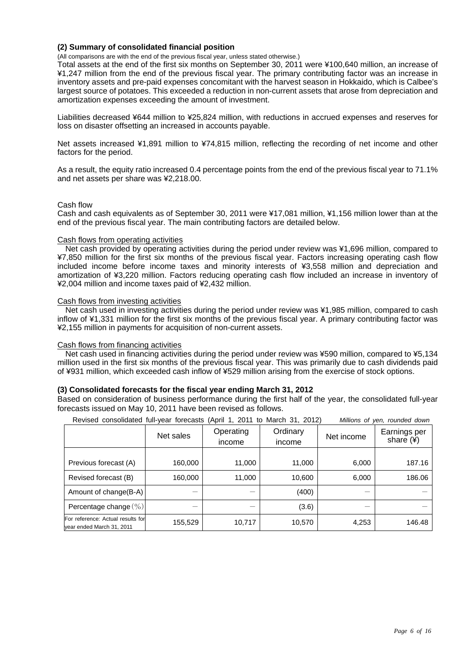#### **(2) Summary of consolidated financial position**

(All comparisons are with the end of the previous fiscal year, unless stated otherwise.)

Total assets at the end of the first six months on September 30, 2011 were ¥100,640 million, an increase of ¥1,247 million from the end of the previous fiscal year. The primary contributing factor was an increase in inventory assets and pre-paid expenses concomitant with the harvest season in Hokkaido, which is Calbee's largest source of potatoes. This exceeded a reduction in non-current assets that arose from depreciation and amortization expenses exceeding the amount of investment.

Liabilities decreased ¥644 million to ¥25,824 million, with reductions in accrued expenses and reserves for loss on disaster offsetting an increased in accounts payable.

Net assets increased ¥1,891 million to ¥74,815 million, reflecting the recording of net income and other factors for the period.

As a result, the equity ratio increased 0.4 percentage points from the end of the previous fiscal year to 71.1% and net assets per share was ¥2,218.00.

#### Cash flow

Cash and cash equivalents as of September 30, 2011 were ¥17,081 million, ¥1,156 million lower than at the end of the previous fiscal year. The main contributing factors are detailed below.

#### Cash flows from operating activities

Net cash provided by operating activities during the period under review was ¥1,696 million, compared to ¥7,850 million for the first six months of the previous fiscal year. Factors increasing operating cash flow included income before income taxes and minority interests of ¥3,558 million and depreciation and amortization of ¥3,220 million. Factors reducing operating cash flow included an increase in inventory of ¥2,004 million and income taxes paid of ¥2,432 million.

#### Cash flows from investing activities

Net cash used in investing activities during the period under review was ¥1,985 million, compared to cash inflow of ¥1,331 million for the first six months of the previous fiscal year. A primary contributing factor was ¥2,155 million in payments for acquisition of non-current assets.

#### Cash flows from financing activities

Net cash used in financing activities during the period under review was ¥590 million, compared to ¥5,134 million used in the first six months of the previous fiscal year. This was primarily due to cash dividends paid of ¥931 million, which exceeded cash inflow of ¥529 million arising from the exercise of stock options.

#### **(3) Consolidated forecasts for the fiscal year ending March 31, 2012**

Based on consideration of business performance during the first half of the year, the consolidated full-year forecasts issued on May 10, 2011 have been revised as follows.

|                                                                | Net sales | Operating<br>income | Ordinary<br>income | Net income | Earnings per<br>share $(*)$ |
|----------------------------------------------------------------|-----------|---------------------|--------------------|------------|-----------------------------|
| Previous forecast (A)                                          | 160,000   | 11,000              | 11,000             | 6,000      | 187.16                      |
| Revised forecast (B)                                           | 160,000   | 11,000              | 10,600             | 6,000      | 186.06                      |
| Amount of change(B-A)                                          |           | –                   | (400)              |            |                             |
| Percentage change (%)                                          |           |                     | (3.6)              |            |                             |
| For reference: Actual results for<br>year ended March 31, 2011 | 155,529   | 10,717              | 10,570             | 4,253      | 146.48                      |

Revised consolidated full-year forecasts (April 1, 2011 to March 31, 2012) *Millions of yen, rounded down*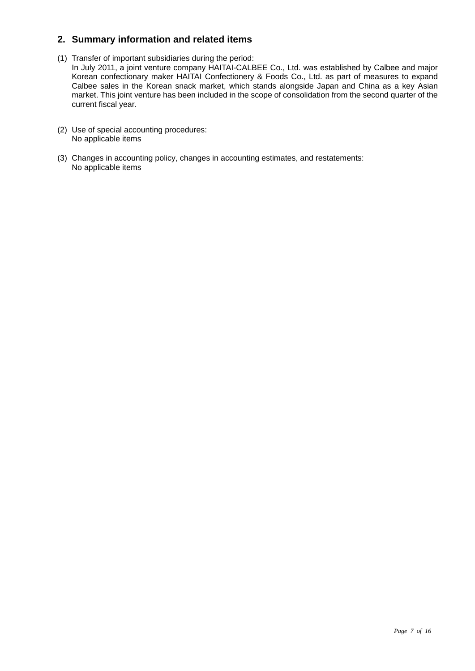# **2. Summary information and related items**

- (1) Transfer of important subsidiaries during the period: In July 2011, a joint venture company HAITAI-CALBEE Co., Ltd. was established by Calbee and major Korean confectionary maker HAITAI Confectionery & Foods Co., Ltd. as part of measures to expand Calbee sales in the Korean snack market, which stands alongside Japan and China as a key Asian market. This joint venture has been included in the scope of consolidation from the second quarter of the current fiscal year.
- (2) Use of special accounting procedures: No applicable items
- (3) Changes in accounting policy, changes in accounting estimates, and restatements: No applicable items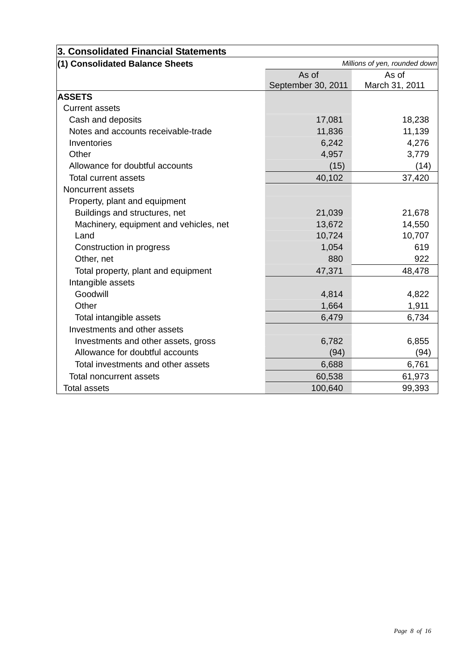| 3. Consolidated Financial Statements   |                               |                |  |
|----------------------------------------|-------------------------------|----------------|--|
| (1) Consolidated Balance Sheets        | Millions of yen, rounded down |                |  |
|                                        | As of                         | As of          |  |
|                                        | September 30, 2011            | March 31, 2011 |  |
| <b>ASSETS</b>                          |                               |                |  |
| <b>Current assets</b>                  |                               |                |  |
| Cash and deposits                      | 17,081                        | 18,238         |  |
| Notes and accounts receivable-trade    | 11,836                        | 11,139         |  |
| Inventories                            | 6,242                         | 4,276          |  |
| Other                                  | 4,957                         | 3,779          |  |
| Allowance for doubtful accounts        | (15)                          | (14)           |  |
| <b>Total current assets</b>            | 40,102                        | 37,420         |  |
| Noncurrent assets                      |                               |                |  |
| Property, plant and equipment          |                               |                |  |
| Buildings and structures, net          | 21,039                        | 21,678         |  |
| Machinery, equipment and vehicles, net | 13,672                        | 14,550         |  |
| Land                                   | 10,724                        | 10,707         |  |
| Construction in progress               | 1,054                         | 619            |  |
| Other, net                             | 880                           | 922            |  |
| Total property, plant and equipment    | 47,371                        | 48,478         |  |
| Intangible assets                      |                               |                |  |
| Goodwill                               | 4,814                         | 4,822          |  |
| Other                                  | 1,664                         | 1,911          |  |
| Total intangible assets                | 6,479                         | 6,734          |  |
| Investments and other assets           |                               |                |  |
| Investments and other assets, gross    | 6,782                         | 6,855          |  |
| Allowance for doubtful accounts        | (94)                          | (94)           |  |
| Total investments and other assets     | 6,688                         | 6,761          |  |
| Total noncurrent assets                | 60,538                        | 61,973         |  |
| Total assets                           | 100,640                       | 99,393         |  |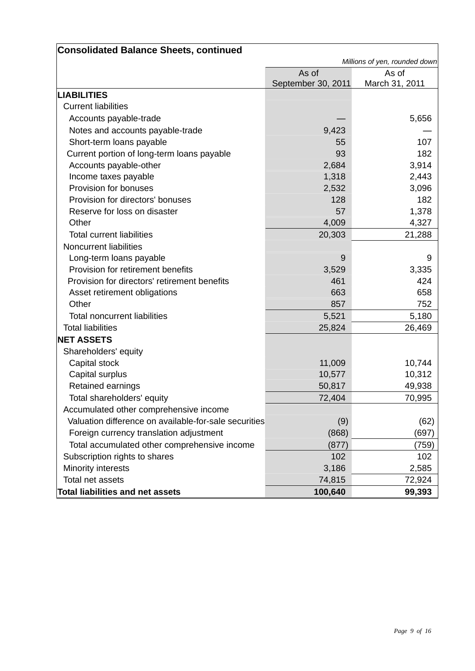| <b>Consolidated Balance Sheets, continued</b>         |                    |                               |
|-------------------------------------------------------|--------------------|-------------------------------|
|                                                       |                    | Millions of yen, rounded down |
|                                                       | As of              | As of                         |
|                                                       | September 30, 2011 | March 31, 2011                |
| <b>LIABILITIES</b>                                    |                    |                               |
| <b>Current liabilities</b>                            |                    |                               |
| Accounts payable-trade                                |                    | 5,656                         |
| Notes and accounts payable-trade                      | 9,423              |                               |
| Short-term loans payable                              | 55                 | 107                           |
| Current portion of long-term loans payable            | 93                 | 182                           |
| Accounts payable-other                                | 2,684              | 3,914                         |
| Income taxes payable                                  | 1,318              | 2,443                         |
| Provision for bonuses                                 | 2,532              | 3,096                         |
| Provision for directors' bonuses                      | 128                | 182                           |
| Reserve for loss on disaster                          | 57                 | 1,378                         |
| Other                                                 | 4,009              | 4,327                         |
| <b>Total current liabilities</b>                      | 20,303             | 21,288                        |
| <b>Noncurrent liabilities</b>                         |                    |                               |
| Long-term loans payable                               | 9                  | 9                             |
| Provision for retirement benefits                     | 3,529              | 3,335                         |
| Provision for directors' retirement benefits          | 461                | 424                           |
| Asset retirement obligations                          | 663                | 658                           |
| Other                                                 | 857                | 752                           |
| <b>Total noncurrent liabilities</b>                   | 5,521              | 5,180                         |
| <b>Total liabilities</b>                              | 25,824             | 26,469                        |
| <b>NET ASSETS</b>                                     |                    |                               |
| Shareholders' equity                                  |                    |                               |
| Capital stock                                         | 11,009             | 10,744                        |
| Capital surplus                                       | 10,577             | 10,312                        |
| Retained earnings                                     | 50,817             | 49,938                        |
| Total shareholders' equity                            | 72,404             | 70,995                        |
| Accumulated other comprehensive income                |                    |                               |
| Valuation difference on available-for-sale securities | (9)                | (62)                          |
| Foreign currency translation adjustment               | (868)              | (697)                         |
| Total accumulated other comprehensive income          | (877)              | (759)                         |
| Subscription rights to shares                         | 102                | 102                           |
| Minority interests                                    | 3,186              | 2,585                         |
| Total net assets                                      | 74,815             | 72,924                        |
| <b>Total liabilities and net assets</b>               | 100,640            | 99,393                        |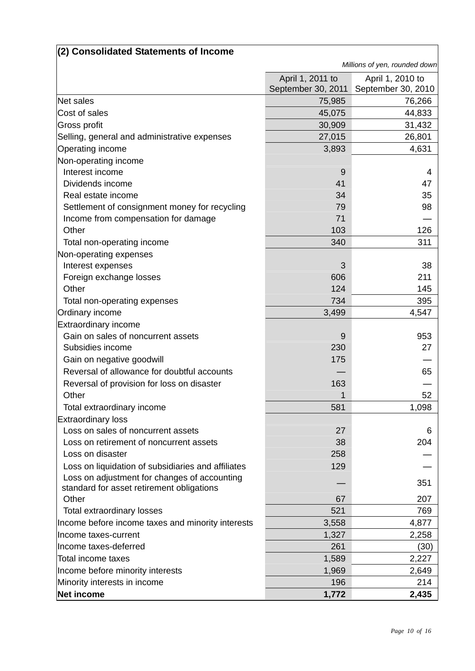| (2) Consolidated Statements of Income                                                     |                                        |                                        |
|-------------------------------------------------------------------------------------------|----------------------------------------|----------------------------------------|
|                                                                                           |                                        | Millions of yen, rounded down          |
|                                                                                           | April 1, 2011 to<br>September 30, 2011 | April 1, 2010 to<br>September 30, 2010 |
| Net sales                                                                                 | 75,985                                 | 76,266                                 |
| Cost of sales                                                                             | 45,075                                 | 44,833                                 |
| Gross profit                                                                              | 30,909                                 | 31,432                                 |
| Selling, general and administrative expenses                                              | 27,015                                 | 26,801                                 |
| <b>Operating income</b>                                                                   | 3,893                                  | 4,631                                  |
| Non-operating income                                                                      |                                        |                                        |
| Interest income                                                                           | 9                                      | 4                                      |
| Dividends income                                                                          | 41                                     | 47                                     |
| Real estate income                                                                        | 34                                     | 35                                     |
| Settlement of consignment money for recycling                                             | 79                                     | 98                                     |
| Income from compensation for damage                                                       | 71                                     |                                        |
| Other                                                                                     | 103                                    | 126                                    |
| Total non-operating income                                                                | 340                                    | 311                                    |
| Non-operating expenses                                                                    |                                        |                                        |
| Interest expenses                                                                         | 3                                      | 38                                     |
| Foreign exchange losses                                                                   | 606                                    | 211                                    |
| Other                                                                                     | 124                                    | 145                                    |
| Total non-operating expenses                                                              | 734                                    | 395                                    |
| Ordinary income                                                                           | 3,499                                  | 4,547                                  |
| Extraordinary income                                                                      |                                        |                                        |
| Gain on sales of noncurrent assets                                                        | 9                                      | 953                                    |
| Subsidies income                                                                          | 230                                    | 27                                     |
| Gain on negative goodwill                                                                 | 175                                    |                                        |
| Reversal of allowance for doubtful accounts                                               |                                        | 65                                     |
| Reversal of provision for loss on disaster                                                | 163                                    |                                        |
| Other                                                                                     |                                        | 52                                     |
| Total extraordinary income                                                                | 581                                    | 1,098                                  |
| <b>Extraordinary loss</b>                                                                 |                                        |                                        |
| Loss on sales of noncurrent assets                                                        | 27                                     | 6                                      |
| Loss on retirement of noncurrent assets                                                   | 38                                     | 204                                    |
| Loss on disaster                                                                          | 258                                    |                                        |
| Loss on liquidation of subsidiaries and affiliates                                        | 129                                    |                                        |
| Loss on adjustment for changes of accounting<br>standard for asset retirement obligations |                                        | 351                                    |
| Other                                                                                     | 67                                     | 207                                    |
| Total extraordinary losses                                                                | 521                                    | 769                                    |
| Income before income taxes and minority interests                                         | 3,558                                  | 4,877                                  |
| Income taxes-current                                                                      | 1,327                                  | 2,258                                  |
| Income taxes-deferred                                                                     | 261                                    | (30)                                   |
| <b>Total income taxes</b>                                                                 | 1,589                                  | 2,227                                  |
| Income before minority interests                                                          | 1,969                                  | 2,649                                  |
| Minority interests in income                                                              | 196                                    | 214                                    |
| Net income                                                                                | 1,772                                  | 2,435                                  |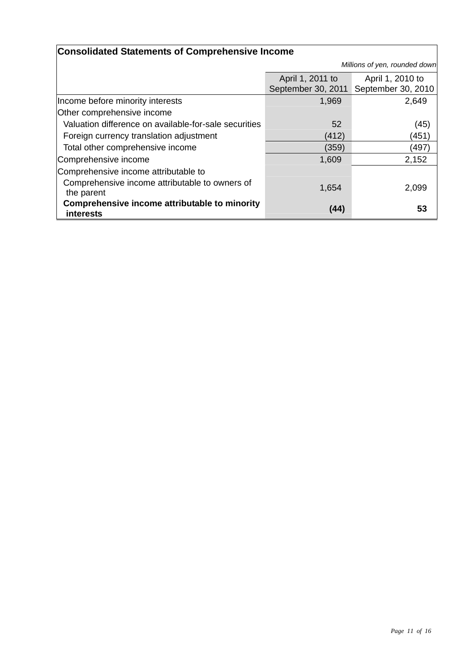| <b>Consolidated Statements of Comprehensive Income</b>            |                                        |                                        |  |
|-------------------------------------------------------------------|----------------------------------------|----------------------------------------|--|
|                                                                   |                                        | Millions of yen, rounded down          |  |
|                                                                   | April 1, 2011 to<br>September 30, 2011 | April 1, 2010 to<br>September 30, 2010 |  |
| Income before minority interests                                  | 1,969                                  | 2,649                                  |  |
| Other comprehensive income                                        |                                        |                                        |  |
| Valuation difference on available-for-sale securities             | 52                                     | (45)                                   |  |
| Foreign currency translation adjustment                           | (412)                                  | (451)                                  |  |
| Total other comprehensive income                                  | (359)                                  | (497)                                  |  |
| Comprehensive income                                              | 1,609                                  | 2,152                                  |  |
| Comprehensive income attributable to                              |                                        |                                        |  |
| Comprehensive income attributable to owners of<br>the parent      | 1,654                                  | 2,099                                  |  |
| Comprehensive income attributable to minority<br><b>interests</b> | (44)                                   | 53                                     |  |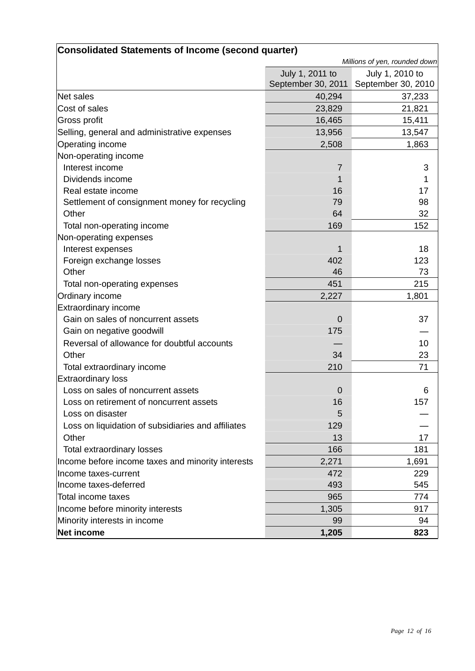| Consolidated Statements of Income (second quarter) |                 |                                       |  |
|----------------------------------------------------|-----------------|---------------------------------------|--|
|                                                    |                 | Millions of yen, rounded down         |  |
|                                                    | July 1, 2011 to | July 1, 2010 to                       |  |
|                                                    |                 | September 30, 2011 September 30, 2010 |  |
| Net sales                                          | 40,294          | 37,233                                |  |
| Cost of sales                                      | 23,829          | 21,821                                |  |
| Gross profit                                       | 16,465          | 15,411                                |  |
| Selling, general and administrative expenses       | 13,956          | 13,547                                |  |
| Operating income                                   | 2,508           | 1,863                                 |  |
| Non-operating income                               |                 |                                       |  |
| Interest income                                    | $\overline{7}$  | 3                                     |  |
| Dividends income                                   | 1               | 1                                     |  |
| Real estate income                                 | 16              | 17                                    |  |
| Settlement of consignment money for recycling      | 79              | 98                                    |  |
| Other                                              | 64              | 32                                    |  |
| Total non-operating income                         | 169             | 152                                   |  |
| Non-operating expenses                             |                 |                                       |  |
| Interest expenses                                  | 1               | 18                                    |  |
| Foreign exchange losses                            | 402             | 123                                   |  |
| Other                                              | 46              | 73                                    |  |
| Total non-operating expenses                       | 451             | 215                                   |  |
| <b>Ordinary income</b>                             | 2,227           | 1,801                                 |  |
| <b>Extraordinary income</b>                        |                 |                                       |  |
| Gain on sales of noncurrent assets                 | $\Omega$        | 37                                    |  |
| Gain on negative goodwill                          | 175             |                                       |  |
| Reversal of allowance for doubtful accounts        |                 | 10                                    |  |
| Other                                              | 34              | 23                                    |  |
| Total extraordinary income                         | 210             | 71                                    |  |
| <b>Extraordinary loss</b>                          |                 |                                       |  |
| Loss on sales of noncurrent assets                 | $\mathbf 0$     | 6                                     |  |
| Loss on retirement of noncurrent assets            | 16              | 157                                   |  |
| Loss on disaster                                   | 5               |                                       |  |
| Loss on liquidation of subsidiaries and affiliates | 129             |                                       |  |
| Other                                              | 13              | 17                                    |  |
| Total extraordinary losses                         | 166             | 181                                   |  |
| Income before income taxes and minority interests  | 2,271           | 1,691                                 |  |
| Income taxes-current                               | 472             | 229                                   |  |
| Income taxes-deferred                              | 493             | 545                                   |  |
| <b>Total income taxes</b>                          | 965             | 774                                   |  |
| Income before minority interests                   | 1,305           | 917                                   |  |
| Minority interests in income                       | 99              | 94                                    |  |
| Net income                                         | 1,205           | 823                                   |  |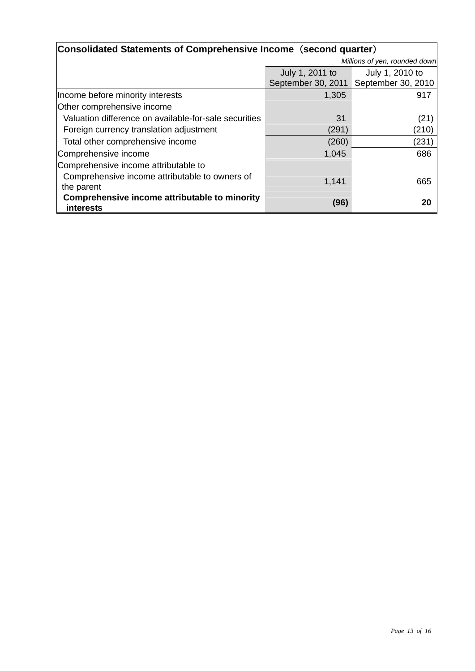| Consolidated Statements of Comprehensive Income (second quarter)  |                               |                    |  |
|-------------------------------------------------------------------|-------------------------------|--------------------|--|
|                                                                   | Millions of yen, rounded down |                    |  |
|                                                                   | July 1, 2011 to               | July 1, 2010 to    |  |
|                                                                   | September 30, 2011            | September 30, 2010 |  |
| Income before minority interests                                  | 1,305                         | 917                |  |
| Other comprehensive income                                        |                               |                    |  |
| Valuation difference on available-for-sale securities             | 31                            | (21)               |  |
| Foreign currency translation adjustment                           | (291)                         | (210)              |  |
| Total other comprehensive income                                  | (260)                         | (231               |  |
| Comprehensive income                                              | 1,045                         | 686                |  |
| Comprehensive income attributable to                              |                               |                    |  |
| Comprehensive income attributable to owners of                    | 1,141                         | 665                |  |
| the parent                                                        |                               |                    |  |
| Comprehensive income attributable to minority<br><b>interests</b> | (96)                          | 20                 |  |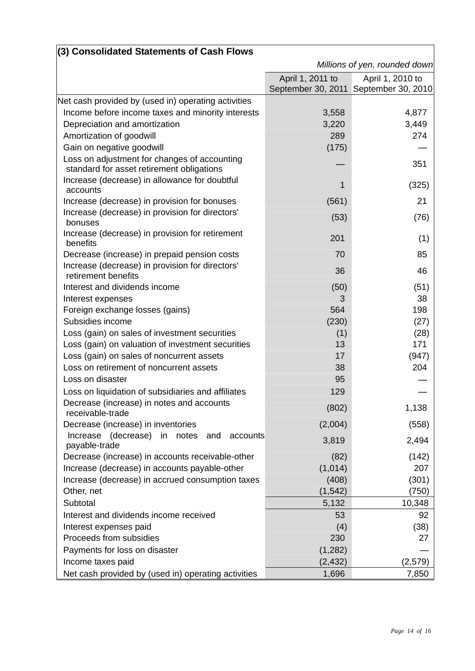| (3) Consolidated Statements of Cash Flows                                                 |                  |                                       |
|-------------------------------------------------------------------------------------------|------------------|---------------------------------------|
|                                                                                           |                  | Millions of yen, rounded down         |
|                                                                                           | April 1, 2011 to | April 1, 2010 to                      |
|                                                                                           |                  | September 30, 2011 September 30, 2010 |
| Net cash provided by (used in) operating activities                                       |                  |                                       |
| Income before income taxes and minority interests                                         | 3,558            | 4,877                                 |
| Depreciation and amortization                                                             | 3,220            | 3,449                                 |
| Amortization of goodwill                                                                  | 289              | 274                                   |
| Gain on negative goodwill                                                                 | (175)            |                                       |
| Loss on adjustment for changes of accounting<br>standard for asset retirement obligations |                  | 351                                   |
| Increase (decrease) in allowance for doubtful<br>accounts                                 | 1                | (325)                                 |
| Increase (decrease) in provision for bonuses                                              | (561)            | 21                                    |
| Increase (decrease) in provision for directors'<br>bonuses                                | (53)             | (76)                                  |
| Increase (decrease) in provision for retirement<br>benefits                               | 201              | (1)                                   |
| Decrease (increase) in prepaid pension costs                                              | 70               | 85                                    |
| Increase (decrease) in provision for directors'<br>retirement benefits                    | 36               | 46                                    |
| Interest and dividends income                                                             | (50)             | (51)                                  |
| Interest expenses                                                                         | 3                | 38                                    |
| Foreign exchange losses (gains)                                                           | 564              | 198                                   |
| Subsidies income                                                                          | (230)            | (27)                                  |
| Loss (gain) on sales of investment securities                                             | (1)              | (28)                                  |
| Loss (gain) on valuation of investment securities                                         | 13               | 171                                   |
| Loss (gain) on sales of noncurrent assets                                                 | 17               | (947)                                 |
| Loss on retirement of noncurrent assets                                                   | 38               | 204                                   |
| Loss on disaster                                                                          | 95               |                                       |
| Loss on liquidation of subsidiaries and affiliates                                        | 129              |                                       |
| Decrease (increase) in notes and accounts<br>receivable-trade                             | (802)            | 1,138                                 |
| Decrease (increase) in inventories                                                        | (2,004)          | (558)                                 |
| Increase (decrease)<br>in<br>notes<br>and<br>accounts<br>payable-trade                    | 3,819            | 2,494                                 |
| Decrease (increase) in accounts receivable-other                                          | (82)             | (142)                                 |
| Increase (decrease) in accounts payable-other                                             | (1,014)          | 207                                   |
| Increase (decrease) in accrued consumption taxes                                          | (408)            | (301)                                 |
| Other, net                                                                                | (1, 542)         | (750)                                 |
| Subtotal                                                                                  | 5,132            | 10,348                                |
| Interest and dividends income received                                                    | 53               | 92                                    |
| Interest expenses paid                                                                    | (4)              | (38)                                  |
| Proceeds from subsidies                                                                   | 230              | 27                                    |
| Payments for loss on disaster                                                             | (1,282)          |                                       |
| Income taxes paid                                                                         | (2, 432)         | (2,579)                               |
| Net cash provided by (used in) operating activities                                       | 1,696            | 7,850                                 |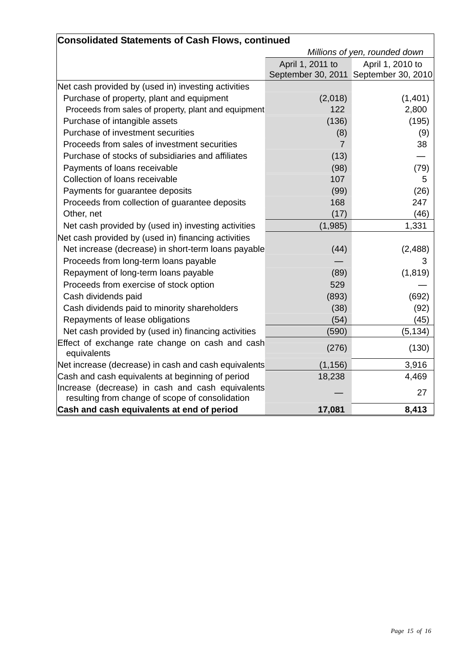| <b>Consolidated Statements of Cash Flows, continued</b>                                             |                               |                                       |  |
|-----------------------------------------------------------------------------------------------------|-------------------------------|---------------------------------------|--|
|                                                                                                     | Millions of yen, rounded down |                                       |  |
|                                                                                                     | April 1, 2011 to              | April 1, 2010 to                      |  |
|                                                                                                     |                               | September 30, 2011 September 30, 2010 |  |
| Net cash provided by (used in) investing activities                                                 |                               |                                       |  |
| Purchase of property, plant and equipment                                                           | (2,018)                       | (1,401)                               |  |
| Proceeds from sales of property, plant and equipment                                                | 122                           | 2,800                                 |  |
| Purchase of intangible assets                                                                       | (136)                         | (195)                                 |  |
| Purchase of investment securities                                                                   | (8)                           | (9)                                   |  |
| Proceeds from sales of investment securities                                                        | $\overline{7}$                | 38                                    |  |
| Purchase of stocks of subsidiaries and affiliates                                                   | (13)                          |                                       |  |
| Payments of loans receivable                                                                        | (98)                          | (79)                                  |  |
| Collection of loans receivable                                                                      | 107                           | 5                                     |  |
| Payments for guarantee deposits                                                                     | (99)                          | (26)                                  |  |
| Proceeds from collection of guarantee deposits                                                      | 168                           | 247                                   |  |
| Other, net                                                                                          | (17)                          | (46)                                  |  |
| Net cash provided by (used in) investing activities                                                 | (1,985)                       | 1,331                                 |  |
| Net cash provided by (used in) financing activities                                                 |                               |                                       |  |
| Net increase (decrease) in short-term loans payable                                                 | (44)                          | (2, 488)                              |  |
| Proceeds from long-term loans payable                                                               |                               | 3                                     |  |
| Repayment of long-term loans payable                                                                | (89)                          | (1, 819)                              |  |
| Proceeds from exercise of stock option                                                              | 529                           |                                       |  |
| Cash dividends paid                                                                                 | (893)                         | (692)                                 |  |
| Cash dividends paid to minority shareholders                                                        | (38)                          | (92)                                  |  |
| Repayments of lease obligations                                                                     | (54)                          | (45)                                  |  |
| Net cash provided by (used in) financing activities                                                 | (590)                         | (5, 134)                              |  |
| Effect of exchange rate change on cash and cash<br>equivalents                                      | (276)                         | (130)                                 |  |
| Net increase (decrease) in cash and cash equivalents                                                | (1, 156)                      | 3,916                                 |  |
| Cash and cash equivalents at beginning of period                                                    | 18,238                        | 4,469                                 |  |
| Increase (decrease) in cash and cash equivalents<br>resulting from change of scope of consolidation |                               | 27                                    |  |
| Cash and cash equivalents at end of period                                                          | 17,081                        | 8,413                                 |  |